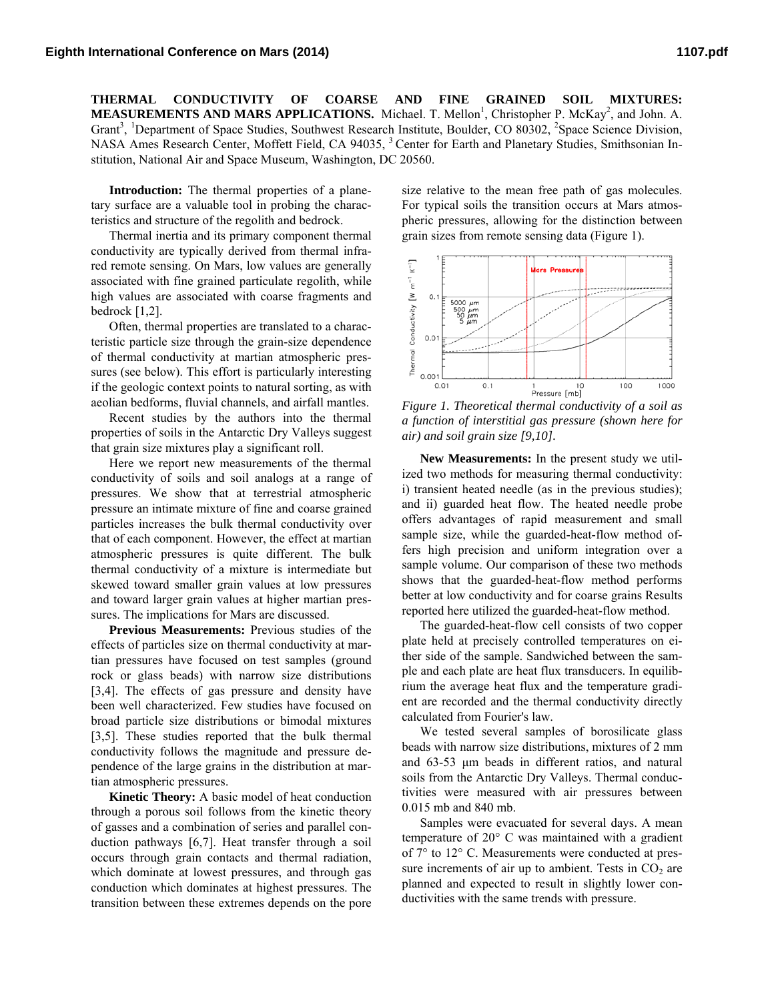**THERMAL CONDUCTIVITY OF COARSE AND FINE GRAINED SOIL MIXTURES: MEASUREMENTS AND MARS APPLICATIONS.** Michael. T. Mellon<sup>1</sup>, Christopher P. McKay<sup>2</sup>, and John. A. Grant<sup>3</sup>, <sup>1</sup>Department of Space Studies, Southwest Research Institute, Boulder, CO 80302, <sup>2</sup>Space Science Division, NASA Ames Research Center, Moffett Field, CA 94035, <sup>3</sup> Center for Earth and Planetary Studies, Smithsonian Institution, National Air and Space Museum, Washington, DC 20560.

**Introduction:** The thermal properties of a planetary surface are a valuable tool in probing the characteristics and structure of the regolith and bedrock.

Thermal inertia and its primary component thermal conductivity are typically derived from thermal infrared remote sensing. On Mars, low values are generally associated with fine grained particulate regolith, while high values are associated with coarse fragments and bedrock [1,2].

Often, thermal properties are translated to a characteristic particle size through the grain-size dependence of thermal conductivity at martian atmospheric pressures (see below). This effort is particularly interesting if the geologic context points to natural sorting, as with aeolian bedforms, fluvial channels, and airfall mantles.

Recent studies by the authors into the thermal properties of soils in the Antarctic Dry Valleys suggest that grain size mixtures play a significant roll.

Here we report new measurements of the thermal conductivity of soils and soil analogs at a range of pressures. We show that at terrestrial atmospheric pressure an intimate mixture of fine and coarse grained particles increases the bulk thermal conductivity over that of each component. However, the effect at martian atmospheric pressures is quite different. The bulk thermal conductivity of a mixture is intermediate but skewed toward smaller grain values at low pressures and toward larger grain values at higher martian pressures. The implications for Mars are discussed.

**Previous Measurements:** Previous studies of the effects of particles size on thermal conductivity at martian pressures have focused on test samples (ground rock or glass beads) with narrow size distributions [3,4]. The effects of gas pressure and density have been well characterized. Few studies have focused on broad particle size distributions or bimodal mixtures [3,5]. These studies reported that the bulk thermal conductivity follows the magnitude and pressure dependence of the large grains in the distribution at martian atmospheric pressures.

**Kinetic Theory:** A basic model of heat conduction through a porous soil follows from the kinetic theory of gasses and a combination of series and parallel conduction pathways [6,7]. Heat transfer through a soil occurs through grain contacts and thermal radiation, which dominate at lowest pressures, and through gas conduction which dominates at highest pressures. The transition between these extremes depends on the pore size relative to the mean free path of gas molecules. For typical soils the transition occurs at Mars atmospheric pressures, allowing for the distinction between grain sizes from remote sensing data (Figure 1).



*Figure 1. Theoretical thermal conductivity of a soil as a function of interstitial gas pressure (shown here for air) and soil grain size [9,10].* 

**New Measurements:** In the present study we utilized two methods for measuring thermal conductivity: i) transient heated needle (as in the previous studies); and ii) guarded heat flow. The heated needle probe offers advantages of rapid measurement and small sample size, while the guarded-heat-flow method offers high precision and uniform integration over a sample volume. Our comparison of these two methods shows that the guarded-heat-flow method performs better at low conductivity and for coarse grains Results reported here utilized the guarded-heat-flow method.

The guarded-heat-flow cell consists of two copper plate held at precisely controlled temperatures on either side of the sample. Sandwiched between the sample and each plate are heat flux transducers. In equilibrium the average heat flux and the temperature gradient are recorded and the thermal conductivity directly calculated from Fourier's law.

We tested several samples of borosilicate glass beads with narrow size distributions, mixtures of 2 mm and 63-53 μm beads in different ratios, and natural soils from the Antarctic Dry Valleys. Thermal conductivities were measured with air pressures between 0.015 mb and 840 mb.

Samples were evacuated for several days. A mean temperature of 20° C was maintained with a gradient of 7° to 12° C. Measurements were conducted at pressure increments of air up to ambient. Tests in  $CO<sub>2</sub>$  are planned and expected to result in slightly lower conductivities with the same trends with pressure.